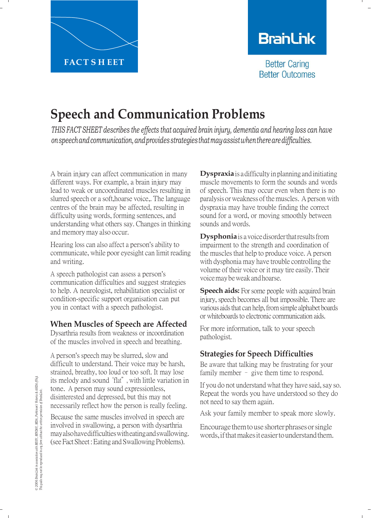

# **BranLink**

**Better Caring Better Outcomes** 

# **Speech and Communication Problems**

*THIS FACT SHEET describes the effects that acquired brain injury, dementia and hearing loss can have onspeechandcommunication,andprovidesstrategiesthatmayassistwhentherearedifficulties.*

A brain injury can affect communication in many different ways. For example, a brain injury may lead to weak or uncoordinated muscles resulting in slurred speech or a soft,hoarse voice,. The language centres of the brain may be affected, resulting in difficulty using words, forming sentences, and understanding what others say. Changes in thinking and memory may also occur.

Hearing loss can also affect a person's ability to communicate, while poor eyesight can limit reading and writing.

A speech pathologist can assess a person's communication difficulties and suggest strategies to help. A neurologist, rehabilitation specialist or condition-specific support organisation can put you in contact with a speech pathologist.

## **When Muscles of Speech are Affected**

Dysarthria results from weakness or incoordination of the muscles involved in speech and breathing.

A person's speech may be slurred, slow and difficult to understand. Their voice may be harsh, strained, breathy, too loud or too soft. It may lose its melody and sound "flat", with little variation in tone. A person may sound expressionless, disinterested and depressed, but this may not necessarily reflect how the person is really feeling.

Because the same muscles involved in speech are involved in swallowing, a person with dysarthria may also have difficulties with eating and swallowing. (see Fact Sheet : Eating and Swallowing Problems).

**Dyspraxia** is a difficulty in planning and initiating muscle movements to form the sounds and words of speech. This may occur even when there is no paralysis or weakness of the muscles. A person with dyspraxia may have trouble finding the correct sound for a word, or moving smoothly between sounds andwords.

**Dysphonia** is a voice disorder that results from impairment to the strength and coordination of the muscles that help to produce voice. A person with dysphonia may have trouble controlling the volume of their voice or it may tire easily. Their voicemaybeweakandhoarse.

**Speech aids:** For some people with acquired brain injury, speech becomes all but impossible. There are various aids that can help, from simple alphabet boards or whiteboards to electronic communication aids.

For more information, talk to your speech pathologist.

# **Strategies for Speech Difficulties**

Be aware that talking may be frustrating for your family member - give them time to respond.

If you do not understand what they have said, say so. Repeat the words you have understood so they do not need to say them again.

Ask your family member to speak more slowly.

Encourage them to use shorter phrases or single words, if that makes it easier to understand them.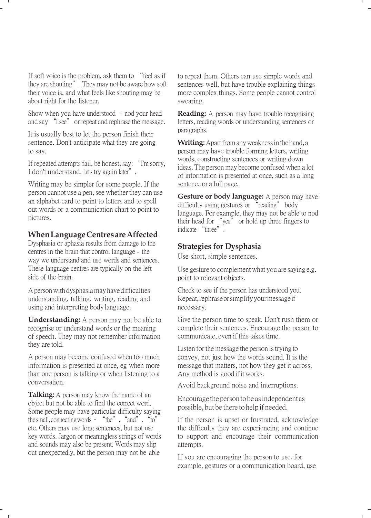If soft voice is the problem, ask them to "feel as if they are shouting". They may not be aware how soft their voice is, and what feels like shouting may be about right for the listener.

Show when you have understood  $-$  nod your head and say "I see" or repeat and rephrase the message.

It is usually best to let the person finish their sentence. Don't anticipate what they are going to say.

If repeated attempts fail, be honest, say: "I'm sorry, I don't understand. Let's try again later".

Writing may be simpler for some people. If the person cannot use a pen, see whether they can use an alphabet card to point to letters and to spell out words or a communication chart to point to pictures.

### **When Language Centres are Affected**

Dysphasia or aphasia results from damage to the centres in the brain that control language - the way we understand and use words and sentences. These language centres are typically on the left side of the brain.

A person with dysphasia may have difficulties understanding, talking, writing, reading and using and interpreting body language.

**Understanding:** A person may not be able to recognise or understand words or the meaning of speech. They may not remember information they are told.

A person may become confused when too much information is presented at once, eg when more than one person is talking or when listening to a conversation.

**Talking:** A person may know the name of an object but not be able to find the correct word. Some people may have particular difficulty saying the small, connecting words  $-$  "the", "and", "to" etc. Others may use long sentences, but not use key words. Jargon or meaningless strings of words and sounds may also be present. Words may slip out unexpectedly, but the person may not be able

to repeat them. Others can use simple words and sentences well, but have trouble explaining things more complex things. Some people cannot control swearing.

**Reading:** A person may have trouble recognising letters, reading words or understanding sentences or paragraphs.

**Writing:** Apart from any weakness in the hand, a person may have trouble forming letters, writing words, constructing sentences or writing down ideas. The person may become confused when a lot of information is presented at once, such as a long sentence or a full page.

**Gesture or body language:** A person may have difficulty using gestures or "reading" body language. For example, they may not be able to nod their head for "yes" or hold up three fingers to indicate "three".

#### **Strategies for Dysphasia**

Use short, simple sentences.

Use gesture to complement what you are saying e.g. point to relevant objects.

Check to see if the person has understood you. Repeat, rephrase orsimplify your message if necessary.

Give the person time to speak. Don't rush them or complete their sentences. Encourage the person to communicate, even if this takes time.

Listen for the message the person is trying to convey, not just how the words sound. It is the message that matters, not how they get it across. Any method is good ifitworks.

Avoid background noise and interruptions.

Encourage the person to be as independent as possible, but be there to help if needed.

If the person is upset or frustrated, acknowledge the difficulty they are experiencing and continue to support and encourage their communication attempts.

If you are encouraging the person to use, for example, gestures or a communication board, use